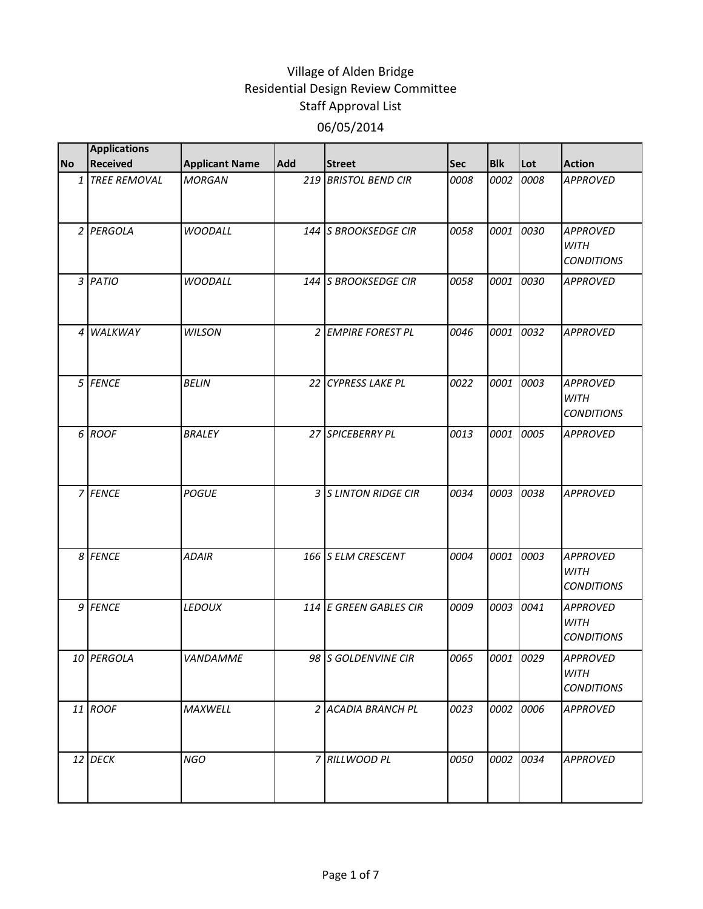|           | <b>Applications</b> |                       |     |                         |            |            |           |                                                     |
|-----------|---------------------|-----------------------|-----|-------------------------|------------|------------|-----------|-----------------------------------------------------|
| <b>No</b> | <b>Received</b>     | <b>Applicant Name</b> | Add | <b>Street</b>           | <b>Sec</b> | <b>Blk</b> | Lot       | <b>Action</b>                                       |
|           | 1 TREE REMOVAL      | <b>MORGAN</b>         | 219 | <b>BRISTOL BEND CIR</b> | 0008       | 0002       | 0008      | <b>APPROVED</b>                                     |
|           | 2 PERGOLA           | <b>WOODALL</b>        |     | 144 S BROOKSEDGE CIR    | 0058       | 0001       | 0030      | <b>APPROVED</b><br><b>WITH</b><br><b>CONDITIONS</b> |
|           | 3 PATIO             | <b>WOODALL</b>        |     | 144 S BROOKSEDGE CIR    | 0058       | 0001       | 0030      | <b>APPROVED</b>                                     |
|           | 4 WALKWAY           | <b>WILSON</b>         |     | 2 EMPIRE FOREST PL      | 0046       | 0001       | 0032      | <b>APPROVED</b>                                     |
|           | 5 FENCE             | <b>BELIN</b>          |     | 22 CYPRESS LAKE PL      | 0022       | 0001       | 0003      | <b>APPROVED</b><br><b>WITH</b><br><b>CONDITIONS</b> |
|           | 6 ROOF              | <b>BRALEY</b>         |     | 27 SPICEBERRY PL        | 0013       | 0001       | 0005      | <b>APPROVED</b>                                     |
|           | 7 FENCE             | <b>POGUE</b>          |     | 3 S LINTON RIDGE CIR    | 0034       | 0003       | 0038      | <b>APPROVED</b>                                     |
|           | 8 FENCE             | <b>ADAIR</b>          |     | 166 S ELM CRESCENT      | 0004       | 0001       | 0003      | <b>APPROVED</b><br><b>WITH</b><br><b>CONDITIONS</b> |
|           | 9 FENCE             | LEDOUX                |     | 114 E GREEN GABLES CIR  | 0009       | 0003       | 0041      | <b>APPROVED</b><br><b>WITH</b><br><b>CONDITIONS</b> |
|           | 10 PERGOLA          | VANDAMME              |     | 98 S GOLDENVINE CIR     | 0065       |            | 0001 0029 | <b>APPROVED</b><br>WITH<br><b>CONDITIONS</b>        |
|           | 11 ROOF             | MAXWELL               |     | 2 ACADIA BRANCH PL      | 0023       |            | 0002 0006 | <b>APPROVED</b>                                     |
|           | 12 DECK             | <b>NGO</b>            |     | 7 RILLWOOD PL           | 0050       | 0002       | 0034      | <b>APPROVED</b>                                     |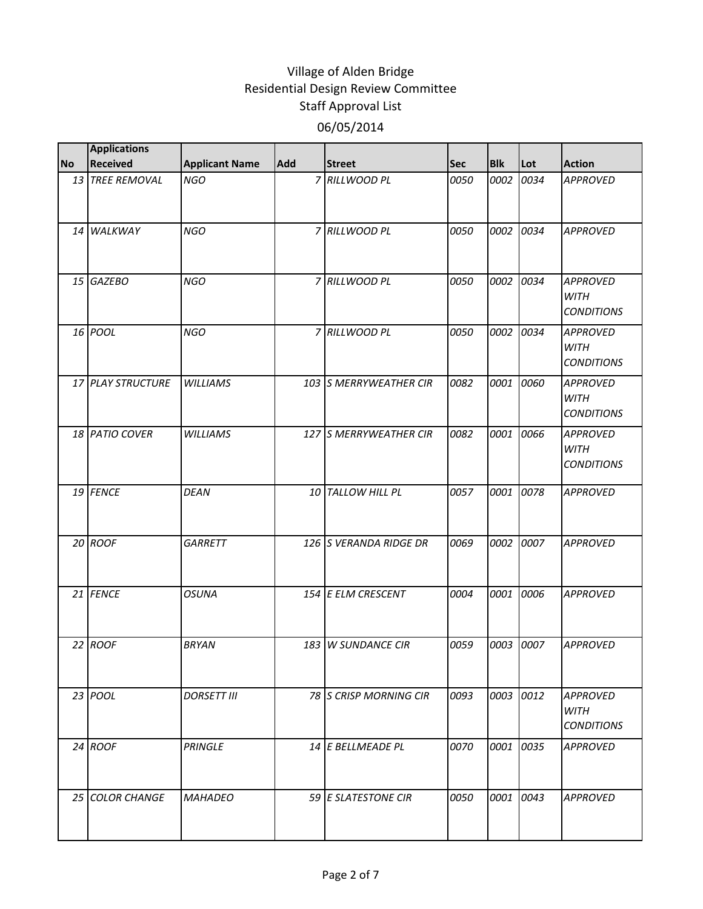|           | <b>Applications</b> |                       |            |                        |            |            |           |                                                     |
|-----------|---------------------|-----------------------|------------|------------------------|------------|------------|-----------|-----------------------------------------------------|
| <b>No</b> | <b>Received</b>     | <b>Applicant Name</b> | <b>Add</b> | <b>Street</b>          | <b>Sec</b> | <b>Blk</b> | Lot       | <b>Action</b>                                       |
|           | 13 TREE REMOVAL     | <b>NGO</b>            |            | 7 RILLWOOD PL          | 0050       | 0002       | 0034      | <b>APPROVED</b>                                     |
|           | 14 WALKWAY          | <b>NGO</b>            |            | 7 RILLWOOD PL          | 0050       | 0002       | 0034      | <b>APPROVED</b>                                     |
|           | 15 GAZEBO           | <b>NGO</b>            |            | 7 RILLWOOD PL          | 0050       | 0002       | 0034      | <b>APPROVED</b><br><b>WITH</b><br><b>CONDITIONS</b> |
|           | 16 POOL             | <b>NGO</b>            |            | 7 RILLWOOD PL          | 0050       | 0002       | 0034      | <b>APPROVED</b><br><b>WITH</b><br><b>CONDITIONS</b> |
|           | 17 PLAY STRUCTURE   | <b>WILLIAMS</b>       |            | 103 S MERRYWEATHER CIR | 0082       | 0001       | 0060      | <b>APPROVED</b><br><b>WITH</b><br><b>CONDITIONS</b> |
|           | 18 PATIO COVER      | <b>WILLIAMS</b>       |            | 127 S MERRYWEATHER CIR | 0082       | 0001       | 0066      | <b>APPROVED</b><br><b>WITH</b><br><b>CONDITIONS</b> |
|           | 19 FENCE            | <b>DEAN</b>           |            | 10 TALLOW HILL PL      | 0057       | 0001       | 0078      | <b>APPROVED</b>                                     |
|           | 20 ROOF             | GARRETT               |            | 126 S VERANDA RIDGE DR | 0069       | 0002       | 0007      | <b>APPROVED</b>                                     |
|           | 21 FENCE            | <b>OSUNA</b>          |            | 154 E ELM CRESCENT     | 0004       | 0001       | 0006      | <b>APPROVED</b>                                     |
|           | 22 ROOF             | <b>BRYAN</b>          |            | 183 W SUNDANCE CIR     | 0059       | 0003       | 0007      | <b>APPROVED</b>                                     |
|           | 23 POOL             | <b>DORSETT III</b>    |            | 78 S CRISP MORNING CIR | 0093       |            | 0003 0012 | <b>APPROVED</b><br><b>WITH</b><br><b>CONDITIONS</b> |
|           | 24 ROOF             | <b>PRINGLE</b>        |            | 14 E BELLMEADE PL      | 0070       | 0001       | 0035      | <b>APPROVED</b>                                     |
|           | 25 COLOR CHANGE     | <b>MAHADEO</b>        |            | 59 E SLATESTONE CIR    | 0050       |            | 0001 0043 | <b>APPROVED</b>                                     |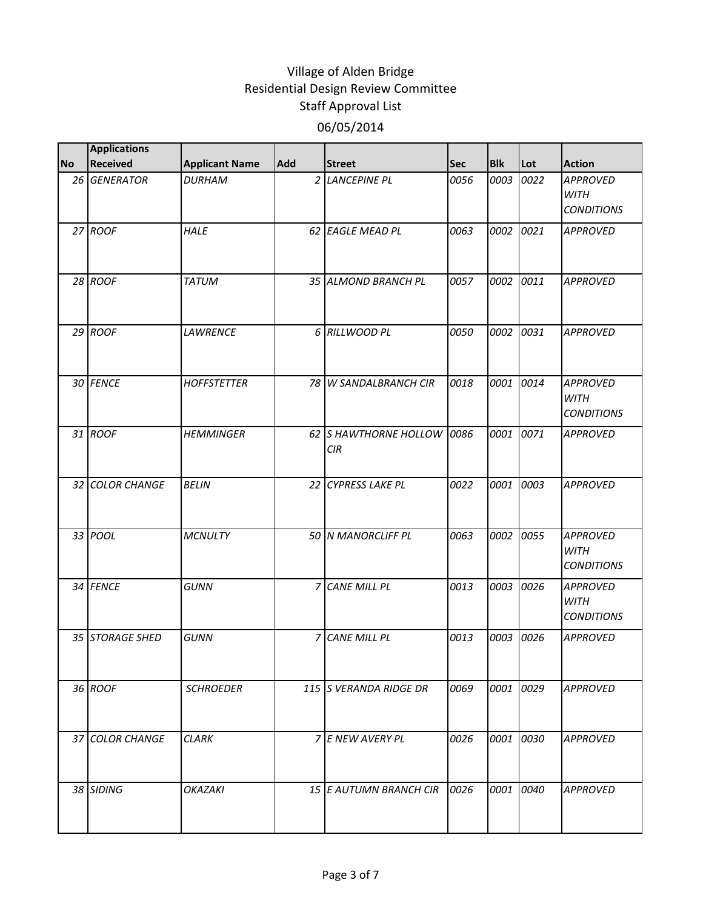|           | <b>Applications</b> |                       |                |                              |            |            |      |                                                     |
|-----------|---------------------|-----------------------|----------------|------------------------------|------------|------------|------|-----------------------------------------------------|
| <b>No</b> | <b>Received</b>     | <b>Applicant Name</b> | Add            | <b>Street</b>                | <b>Sec</b> | <b>Blk</b> | Lot  | <b>Action</b>                                       |
|           | 26 GENERATOR        | <b>DURHAM</b>         |                | 2 LANCEPINE PL               | 0056       | 0003       | 0022 | <b>APPROVED</b><br><b>WITH</b><br><b>CONDITIONS</b> |
|           | 27 ROOF             | <b>HALE</b>           |                | 62 EAGLE MEAD PL             | 0063       | 0002       | 0021 | <b>APPROVED</b>                                     |
|           | 28 ROOF             | <b>TATUM</b>          |                | 35 ALMOND BRANCH PL          | 0057       | 0002       | 0011 | <b>APPROVED</b>                                     |
|           | $29$ ROOF           | <b>LAWRENCE</b>       |                | 6 RILLWOOD PL                | 0050       | 0002       | 0031 | <b>APPROVED</b>                                     |
|           | 30 FENCE            | <b>HOFFSTETTER</b>    |                | 78 W SANDALBRANCH CIR        | 0018       | 0001       | 0014 | <b>APPROVED</b><br><b>WITH</b><br><b>CONDITIONS</b> |
|           | 31 ROOF             | <b>HEMMINGER</b>      |                | 62 S HAWTHORNE HOLLOW<br>CIR | 0086       | 0001       | 0071 | <b>APPROVED</b>                                     |
|           | 32 COLOR CHANGE     | <b>BELIN</b>          |                | 22 CYPRESS LAKE PL           | 0022       | 0001       | 0003 | <b>APPROVED</b>                                     |
|           | 33 POOL             | <b>MCNULTY</b>        |                | 50 N MANORCLIFF PL           | 0063       | 0002       | 0055 | <b>APPROVED</b><br><b>WITH</b><br><b>CONDITIONS</b> |
|           | 34 FENCE            | <b>GUNN</b>           | 7              | <b>CANE MILL PL</b>          | 0013       | 0003       | 0026 | <b>APPROVED</b><br><b>WITH</b><br><b>CONDITIONS</b> |
|           | 35 STORAGE SHED     | <b>GUNN</b>           | $\overline{z}$ | <b>CANE MILL PL</b>          | 0013       | 0003       | 0026 | <b>APPROVED</b>                                     |
|           | 36 ROOF             | <b>SCHROEDER</b>      |                | 115 S VERANDA RIDGE DR       | 0069       | 0001       | 0029 | <b>APPROVED</b>                                     |
|           | 37 COLOR CHANGE     | <b>CLARK</b>          |                | 7 E NEW AVERY PL             | 0026       | 0001       | 0030 | <b>APPROVED</b>                                     |
|           | 38 SIDING           | <b>OKAZAKI</b>        |                | 15 E AUTUMN BRANCH CIR       | 0026       | 0001       | 0040 | <b>APPROVED</b>                                     |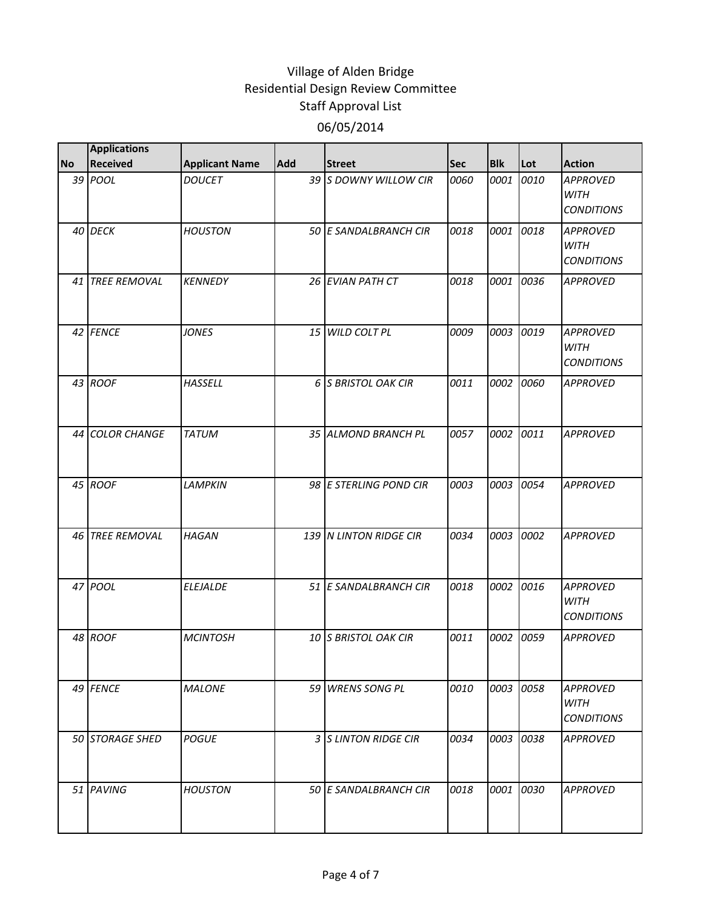|           | <b>Applications</b> |                       |     |                        |            |            |      |                                                     |
|-----------|---------------------|-----------------------|-----|------------------------|------------|------------|------|-----------------------------------------------------|
| <b>No</b> | <b>Received</b>     | <b>Applicant Name</b> | Add | <b>Street</b>          | <b>Sec</b> | <b>Blk</b> | Lot  | <b>Action</b>                                       |
|           | 39 POOL             | <b>DOUCET</b>         |     | 39 S DOWNY WILLOW CIR  | 0060       | 0001       | 0010 | <b>APPROVED</b><br><b>WITH</b><br><b>CONDITIONS</b> |
|           | 40 DECK             | <b>HOUSTON</b>        |     | 50 E SANDALBRANCH CIR  | 0018       | 0001       | 0018 | <b>APPROVED</b><br><b>WITH</b><br><b>CONDITIONS</b> |
|           | 41 TREE REMOVAL     | <b>KENNEDY</b>        |     | 26 EVIAN PATH CT       | 0018       | 0001       | 0036 | <b>APPROVED</b>                                     |
|           | 42 FENCE            | <b>JONES</b>          |     | 15 WILD COLT PL        | 0009       | 0003       | 0019 | <b>APPROVED</b><br><b>WITH</b><br><b>CONDITIONS</b> |
|           | 43 ROOF             | <b>HASSELL</b>        |     | 6 S BRISTOL OAK CIR    | 0011       | 0002       | 0060 | <b>APPROVED</b>                                     |
|           | 44 COLOR CHANGE     | <b>TATUM</b>          |     | 35 ALMOND BRANCH PL    | 0057       | 0002       | 0011 | <b>APPROVED</b>                                     |
|           | 45 ROOF             | <b>LAMPKIN</b>        |     | 98 E STERLING POND CIR | 0003       | 0003       | 0054 | <b>APPROVED</b>                                     |
|           | 46 TREE REMOVAL     | <b>HAGAN</b>          |     | 139 N LINTON RIDGE CIR | 0034       | 0003       | 0002 | <b>APPROVED</b>                                     |
|           | 47 POOL             | <b>ELEJALDE</b>       |     | 51 E SANDALBRANCH CIR  | 0018       | 0002       | 0016 | <b>APPROVED</b><br><b>WITH</b><br><b>CONDITIONS</b> |
|           | 48 ROOF             | <b>MCINTOSH</b>       |     | 10 S BRISTOL OAK CIR   | 0011       | 0002       | 0059 | <b>APPROVED</b>                                     |
|           | 49 FENCE            | <b>MALONE</b>         |     | 59 WRENS SONG PL       | 0010       | 0003       | 0058 | <b>APPROVED</b><br>WITH<br><b>CONDITIONS</b>        |
|           | 50 STORAGE SHED     | <i>POGUE</i>          |     | 3 S LINTON RIDGE CIR   | 0034       | 0003       | 0038 | <b>APPROVED</b>                                     |
|           | 51 PAVING           | <b>HOUSTON</b>        |     | 50 E SANDALBRANCH CIR  | 0018       | 0001       | 0030 | <b>APPROVED</b>                                     |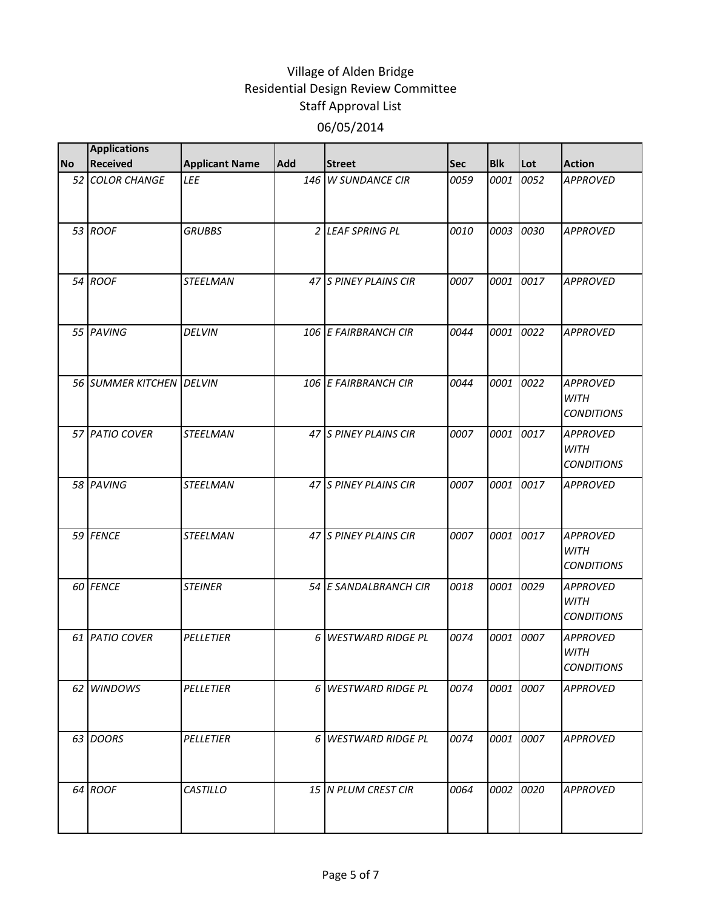|           | <b>Applications</b>      |                       |            |                          |            |            |      |                                                     |
|-----------|--------------------------|-----------------------|------------|--------------------------|------------|------------|------|-----------------------------------------------------|
| <b>No</b> | <b>Received</b>          | <b>Applicant Name</b> | <b>Add</b> | <b>Street</b>            | <b>Sec</b> | <b>Blk</b> | Lot  | <b>Action</b>                                       |
|           | 52 COLOR CHANGE          | LEE                   |            | 146 W SUNDANCE CIR       | 0059       | 0001       | 0052 | <b>APPROVED</b>                                     |
|           | 53 ROOF                  | <b>GRUBBS</b>         |            | 2 LEAF SPRING PL         | 0010       | 0003       | 0030 | <b>APPROVED</b>                                     |
|           | 54 ROOF                  | <b>STEELMAN</b>       |            | 47 S PINEY PLAINS CIR    | 0007       | 0001       | 0017 | <b>APPROVED</b>                                     |
|           | 55 PAVING                | <b>DELVIN</b>         |            | 106 E FAIRBRANCH CIR     | 0044       | 0001       | 0022 | <b>APPROVED</b>                                     |
|           | 56 SUMMER KITCHEN DELVIN |                       |            | 106 E FAIRBRANCH CIR     | 0044       | 0001       | 0022 | <b>APPROVED</b><br><b>WITH</b><br><b>CONDITIONS</b> |
|           | 57 PATIO COVER           | <b>STEELMAN</b>       |            | 47 S PINEY PLAINS CIR    | 0007       | 0001       | 0017 | <b>APPROVED</b><br><b>WITH</b><br><b>CONDITIONS</b> |
|           | 58 PAVING                | <b>STEELMAN</b>       |            | 47 S PINEY PLAINS CIR    | 0007       | 0001       | 0017 | <b>APPROVED</b>                                     |
|           | 59 FENCE                 | <b>STEELMAN</b>       |            | 47 S PINEY PLAINS CIR    | 0007       | 0001       | 0017 | <b>APPROVED</b><br><b>WITH</b><br><b>CONDITIONS</b> |
|           | 60 FENCE                 | <b>STEINER</b>        |            | 54 E SANDALBRANCH CIR    | 0018       | 0001       | 0029 | <b>APPROVED</b><br><b>WITH</b><br><b>CONDITIONS</b> |
|           | 61 PATIO COVER           | <b>PELLETIER</b>      | 6          | <b>WESTWARD RIDGE PL</b> | 0074       | 0001       | 0007 | <b>APPROVED</b><br><b>WITH</b><br><b>CONDITIONS</b> |
|           | 62 WINDOWS               | PELLETIER             |            | 6 WESTWARD RIDGE PL      | 0074       | 0001 0007  |      | <b>APPROVED</b>                                     |
|           | 63 DOORS                 | <b>PELLETIER</b>      |            | 6 WESTWARD RIDGE PL      | 0074       | 0001       | 0007 | <b>APPROVED</b>                                     |
|           | 64 ROOF                  | <b>CASTILLO</b>       |            | 15 N PLUM CREST CIR      | 0064       | 0002 0020  |      | <b>APPROVED</b>                                     |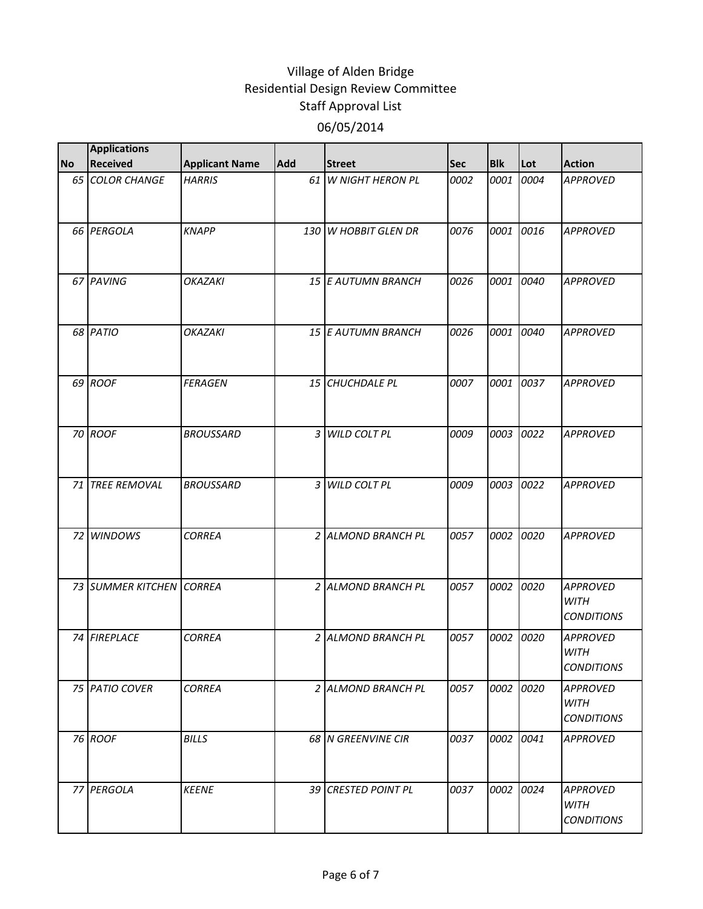|           | <b>Applications</b>      |                       |            |                         |            |            |      |                                                     |
|-----------|--------------------------|-----------------------|------------|-------------------------|------------|------------|------|-----------------------------------------------------|
| <b>No</b> | <b>Received</b>          | <b>Applicant Name</b> | <b>Add</b> | <b>Street</b>           | <b>Sec</b> | <b>Blk</b> | Lot  | <b>Action</b>                                       |
|           | 65 COLOR CHANGE          | <b>HARRIS</b>         |            | 61 W NIGHT HERON PL     | 0002       | 0001       | 0004 | <b>APPROVED</b>                                     |
|           | 66 PERGOLA               | <b>KNAPP</b>          | 130        | <b>W HOBBIT GLEN DR</b> | 0076       | 0001       | 0016 | <b>APPROVED</b>                                     |
|           | 67 PAVING                | <b>OKAZAKI</b>        |            | 15 E AUTUMN BRANCH      | 0026       | 0001       | 0040 | <b>APPROVED</b>                                     |
|           | 68 PATIO                 | <b>OKAZAKI</b>        |            | 15 E AUTUMN BRANCH      | 0026       | 0001       | 0040 | <b>APPROVED</b>                                     |
|           | 69 ROOF                  | <b>FERAGEN</b>        |            | 15 CHUCHDALE PL         | 0007       | 0001       | 0037 | <b>APPROVED</b>                                     |
|           | 70 ROOF                  | <b>BROUSSARD</b>      |            | 3 WILD COLT PL          | 0009       | 0003       | 0022 | <b>APPROVED</b>                                     |
|           | 71 TREE REMOVAL          | <b>BROUSSARD</b>      | 3          | <b>WILD COLT PL</b>     | 0009       | 0003       | 0022 | <b>APPROVED</b>                                     |
|           | 72 WINDOWS               | <b>CORREA</b>         |            | 2 ALMOND BRANCH PL      | 0057       | 0002       | 0020 | <b>APPROVED</b>                                     |
|           | 73 SUMMER KITCHEN CORREA |                       |            | 2 ALMOND BRANCH PL      | 0057       | 0002       | 0020 | <b>APPROVED</b><br><b>WITH</b><br><b>CONDITIONS</b> |
|           | 74 FIREPLACE             | <b>CORREA</b>         |            | 2 ALMOND BRANCH PL      | 0057       | 0002       | 0020 | <b>APPROVED</b><br><b>WITH</b><br><b>CONDITIONS</b> |
|           | 75 PATIO COVER           | <b>CORREA</b>         |            | 2 ALMOND BRANCH PL      | 0057       | 0002       | 0020 | <b>APPROVED</b><br>WITH<br><b>CONDITIONS</b>        |
|           | 76 ROOF                  | <b>BILLS</b>          |            | 68 N GREENVINE CIR      | 0037       | 0002       | 0041 | <b>APPROVED</b>                                     |
|           | 77 PERGOLA               | <b>KEENE</b>          |            | 39 CRESTED POINT PL     | 0037       | 0002       | 0024 | <b>APPROVED</b><br><b>WITH</b><br><b>CONDITIONS</b> |